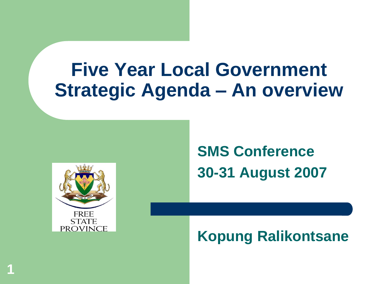# **Five Year Local Government Strategic Agenda – An overview**



**1**

**SMS Conference 30-31 August 2007**

**Kopung Ralikontsane**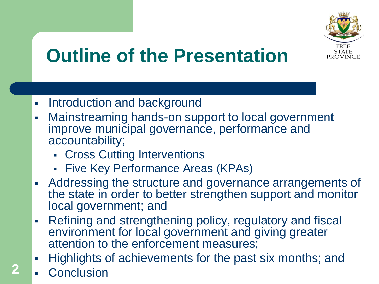

# **Outline of the Presentation**

- Introduction and background
- Mainstreaming hands-on support to local government improve municipal governance, performance and accountability;
	- **Cross Cutting Interventions**
	- **Five Key Performance Areas (KPAs)**
- Addressing the structure and governance arrangements of the state in order to better strengthen support and monitor local government; and
- Refining and strengthening policy, regulatory and fiscal environment for local government and giving greater attention to the enforcement measures;
- Highlights of achievements for the past six months; and
- **Conclusion**

**2**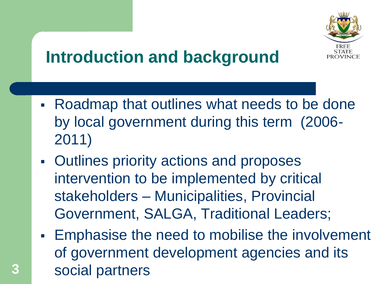

## **Introduction and background**

- Roadmap that outlines what needs to be done by local government during this term (2006- 2011)
- Outlines priority actions and proposes intervention to be implemented by critical stakeholders – Municipalities, Provincial Government, SALGA, Traditional Leaders;

**3**

**Emphasise the need to mobilise the involvement** of government development agencies and its social partners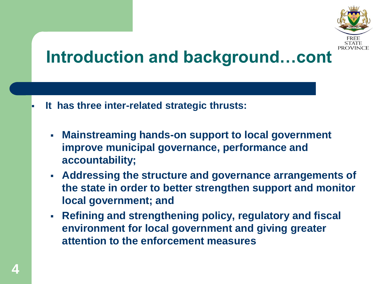

## **Introduction and background…cont**

- **It has three inter-related strategic thrusts:**
	- **Mainstreaming hands-on support to local government improve municipal governance, performance and accountability;**
	- **Addressing the structure and governance arrangements of the state in order to better strengthen support and monitor local government; and**
	- **Refining and strengthening policy, regulatory and fiscal environment for local government and giving greater attention to the enforcement measures**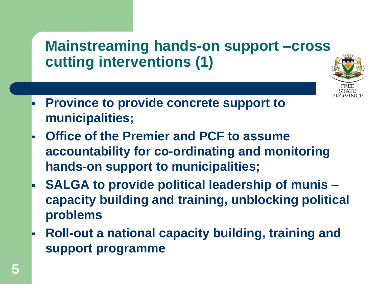#### **Mainstreaming hands-on support –cross cutting interventions (1)**



- **Province to provide concrete support to municipalities;**
- **Office of the Premier and PCF to assume accountability for co-ordinating and monitoring hands-on support to municipalities;**
- **SALGA to provide political leadership of munis – capacity building and training, unblocking political problems**
- **Roll-out a national capacity building, training and support programme**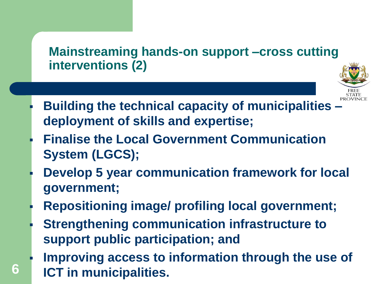#### **Mainstreaming hands-on support –cross cutting interventions (2)**



- **Building the technical capacity of municipalities – deployment of skills and expertise;**
- **Finalise the Local Government Communication System (LGCS);**
- **Develop 5 year communication framework for local government;**
- **Repositioning image/ profiling local government;**
- **Strengthening communication infrastructure to support public participation; and**

**6**

 **Improving access to information through the use of ICT in municipalities.**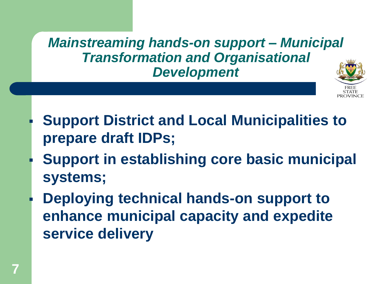*Mainstreaming hands-on support – Municipal Transformation and Organisational Development*



- **Support District and Local Municipalities to prepare draft IDPs;**
- **Support in establishing core basic municipal systems;**
- **Deploying technical hands-on support to enhance municipal capacity and expedite service delivery**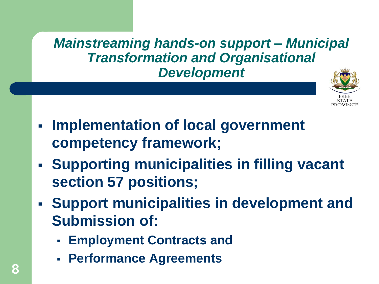*Mainstreaming hands-on support – Municipal Transformation and Organisational Development*



- **Implementation of local government competency framework;**
- **Supporting municipalities in filling vacant section 57 positions;**
- **Support municipalities in development and Submission of:**
	- **Employment Contracts and**
	- **Performance Agreements**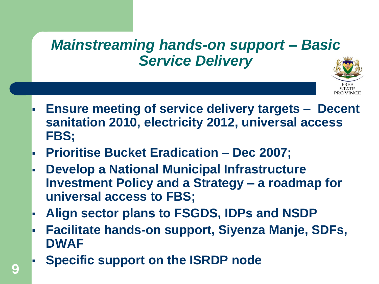#### *Mainstreaming hands-on support – Basic Service Delivery*



- **Ensure meeting of service delivery targets Decent sanitation 2010, electricity 2012, universal access FBS;**
- **Prioritise Bucket Eradication – Dec 2007;**
- **Develop a National Municipal Infrastructure Investment Policy and a Strategy – a roadmap for universal access to FBS;**
- **Align sector plans to FSGDS, IDPs and NSDP**
- **Facilitate hands-on support, Siyenza Manje, SDFs, DWAF**
- **Specific support on the ISRDP node**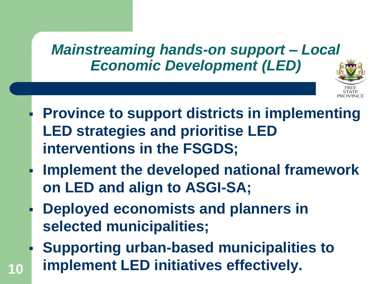#### *Mainstreaming hands-on support – Local Economic Development (LED)*



- **Province to support districts in implementing LED strategies and prioritise LED interventions in the FSGDS;**
- **Implement the developed national framework on LED and align to ASGI-SA;**
- **Deployed economists and planners in selected municipalities;**

**10**

 **Supporting urban-based municipalities to implement LED initiatives effectively.**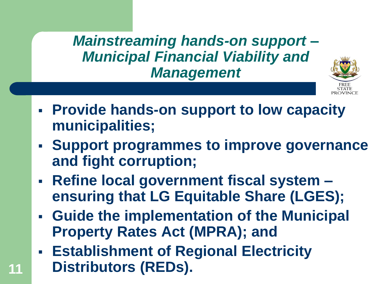*Mainstreaming hands-on support – Municipal Financial Viability and Management*



- **Provide hands-on support to low capacity municipalities;**
- **Support programmes to improve governance and fight corruption;**
- **Refine local government fiscal system – ensuring that LG Equitable Share (LGES);**
- **Guide the implementation of the Municipal Property Rates Act (MPRA); and**
- **Establishment of Regional Electricity Distributors (REDs).**

**11**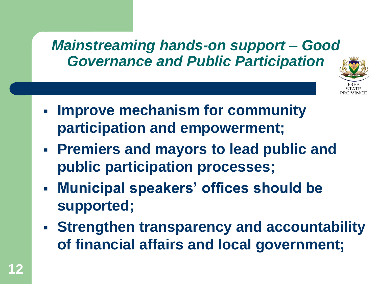#### *Mainstreaming hands-on support – Good Governance and Public Participation*



- **Improve mechanism for community participation and empowerment;**
- **Premiers and mayors to lead public and public participation processes;**
- **Municipal speakers' offices should be supported;**
- **Strengthen transparency and accountability of financial affairs and local government;**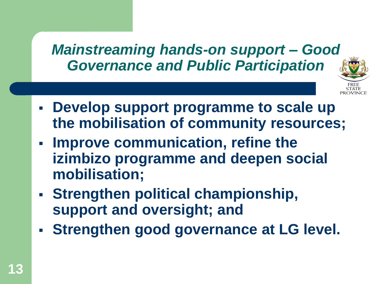#### *Mainstreaming hands-on support – Good Governance and Public Participation*



- **Develop support programme to scale up the mobilisation of community resources;**
- **Improve communication, refine the izimbizo programme and deepen social mobilisation;**
- **Strengthen political championship, support and oversight; and**
- **Strengthen good governance at LG level.**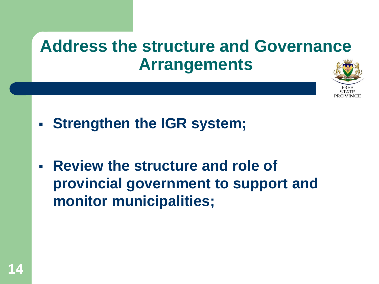## **Address the structure and Governance Arrangements**



- **Strengthen the IGR system;**
- **Review the structure and role of provincial government to support and monitor municipalities;**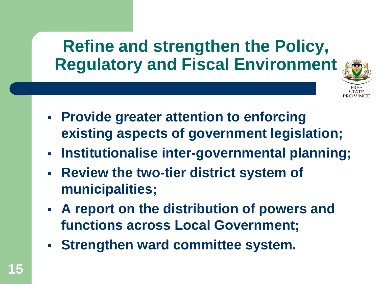## **Refine and strengthen the Policy, Regulatory and Fiscal Environment**



- **Provide greater attention to enforcing existing aspects of government legislation;**
- **Institutionalise inter-governmental planning;**
- **Review the two-tier district system of municipalities;**
- **A report on the distribution of powers and functions across Local Government;**
- **Strengthen ward committee system.**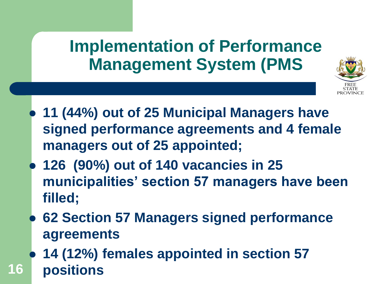#### **Implementation of Performance Management System (PMS**



- **11 (44%) out of 25 Municipal Managers have signed performance agreements and 4 female managers out of 25 appointed;**
- **126 (90%) out of 140 vacancies in 25 municipalities' section 57 managers have been filled;**
- **62 Section 57 Managers signed performance agreements**
- **16 14 (12%) females appointed in section 57 positions**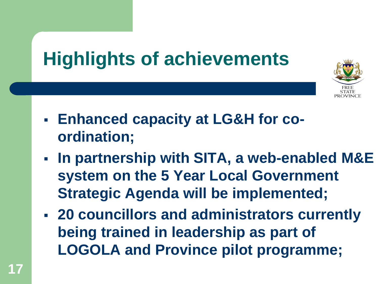

- **Enhanced capacity at LG&H for coordination;**
- **In partnership with SITA, a web-enabled M&E system on the 5 Year Local Government Strategic Agenda will be implemented;**
- **20 councillors and administrators currently being trained in leadership as part of LOGOLA and Province pilot programme;**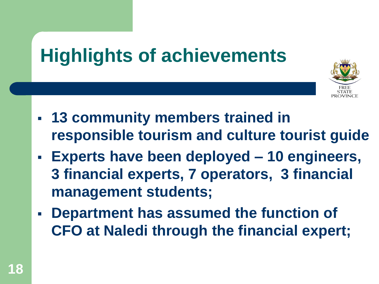

- **13 community members trained in responsible tourism and culture tourist guide**
- **Experts have been deployed – 10 engineers, 3 financial experts, 7 operators, 3 financial management students;**
- **Department has assumed the function of CFO at Naledi through the financial expert;**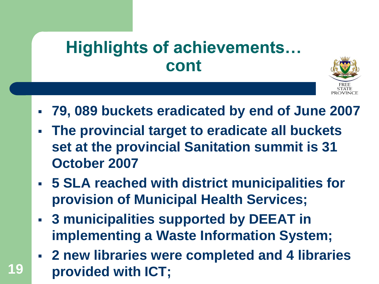

- **79, 089 buckets eradicated by end of June 2007**
- **The provincial target to eradicate all buckets set at the provincial Sanitation summit is 31 October 2007**
- **5 SLA reached with district municipalities for provision of Municipal Health Services;**
- **3 municipalities supported by DEEAT in implementing a Waste Information System;**

**19**

 **2 new libraries were completed and 4 libraries provided with ICT;**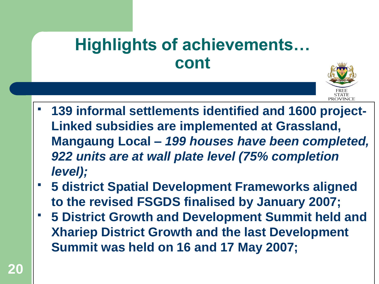

- **139 informal settlements identified and 1600 project-Linked subsidies are implemented at Grassland, Mangaung Local –** *199 houses have been completed, 922 units are at wall plate level (75% completion level);*
- **5 district Spatial Development Frameworks aligned to the revised FSGDS finalised by January 2007;**
- **5 District Growth and Development Summit held and Xhariep District Growth and the last Development Summit was held on 16 and 17 May 2007;**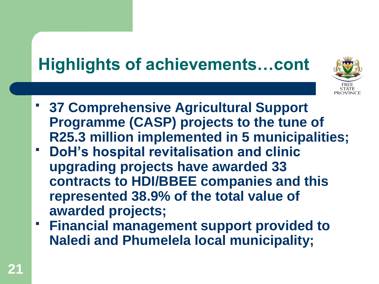

- **37 Comprehensive Agricultural Support Programme (CASP) projects to the tune of R25.3 million implemented in 5 municipalities;**
- **DoH's hospital revitalisation and clinic upgrading projects have awarded 33 contracts to HDI/BBEE companies and this represented 38.9% of the total value of awarded projects;**
- **Financial management support provided to Naledi and Phumelela local municipality;**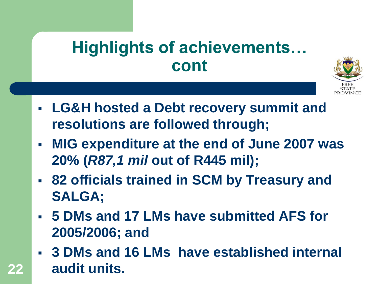

- **LG&H hosted a Debt recovery summit and resolutions are followed through;**
- **MIG expenditure at the end of June 2007 was 20% (***R87,1 mil* **out of R445 mil);**
- **82 officials trained in SCM by Treasury and SALGA;**
- **5 DMs and 17 LMs have submitted AFS for 2005/2006; and**
- **3 DMs and 16 LMs have established internal audit units.**

**22**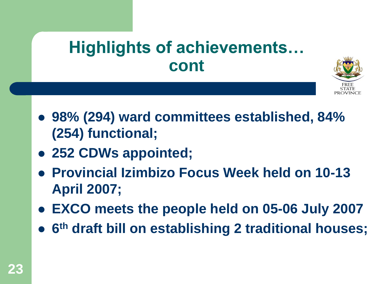

- **98% (294) ward committees established, 84% (254) functional;**
- **252 CDWs appointed;**
- **Provincial Izimbizo Focus Week held on 10-13 April 2007;**
- **EXCO meets the people held on 05-06 July 2007**
- **6 th draft bill on establishing 2 traditional houses;**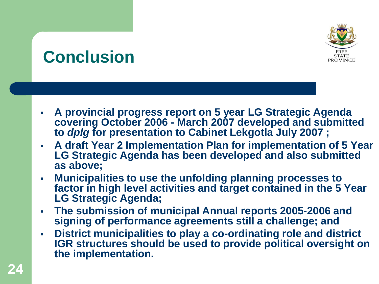# **PROVINCE**

## **Conclusion**

- **A provincial progress report on 5 year LG Strategic Agenda covering October 2006 - March 2007 developed and submitted to** *dplg* **for presentation to Cabinet Lekgotla July 2007 ;**
- **A draft Year 2 Implementation Plan for implementation of 5 Year LG Strategic Agenda has been developed and also submitted as above;**
- **Municipalities to use the unfolding planning processes to factor in high level activities and target contained in the 5 Year LG Strategic Agenda;**
- **The submission of municipal Annual reports 2005-2006 and signing of performance agreements still a challenge; and**
- **District municipalities to play a co-ordinating role and district IGR structures should be used to provide political oversight on the implementation.**